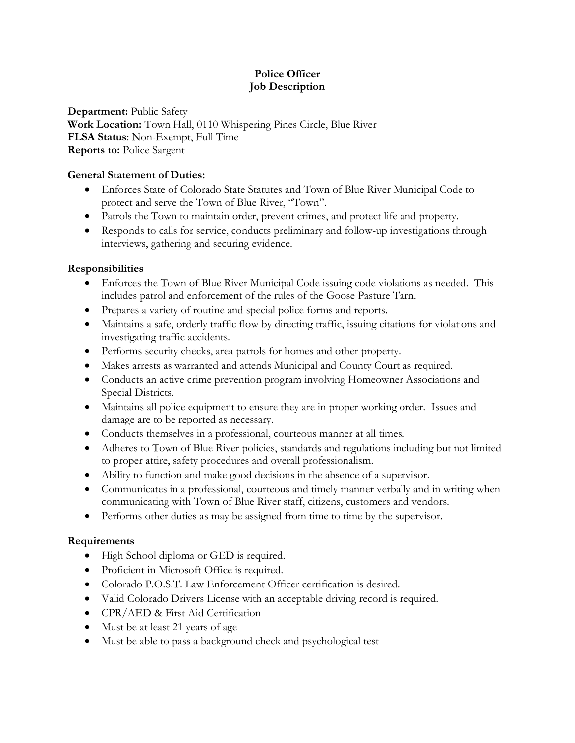## **Police Officer Job Description**

**Department:** Public Safety **Work Location:** Town Hall, 0110 Whispering Pines Circle, Blue River **FLSA Status**: Non-Exempt, Full Time **Reports to:** Police Sargent

### **General Statement of Duties:**

- Enforces State of Colorado State Statutes and Town of Blue River Municipal Code to protect and serve the Town of Blue River, "Town".
- Patrols the Town to maintain order, prevent crimes, and protect life and property.
- Responds to calls for service, conducts preliminary and follow-up investigations through interviews, gathering and securing evidence.

## **Responsibilities**

- Enforces the Town of Blue River Municipal Code issuing code violations as needed. This includes patrol and enforcement of the rules of the Goose Pasture Tarn.
- Prepares a variety of routine and special police forms and reports.
- Maintains a safe, orderly traffic flow by directing traffic, issuing citations for violations and investigating traffic accidents.
- Performs security checks, area patrols for homes and other property.
- Makes arrests as warranted and attends Municipal and County Court as required.
- Conducts an active crime prevention program involving Homeowner Associations and Special Districts.
- Maintains all police equipment to ensure they are in proper working order. Issues and damage are to be reported as necessary.
- Conducts themselves in a professional, courteous manner at all times.
- Adheres to Town of Blue River policies, standards and regulations including but not limited to proper attire, safety procedures and overall professionalism.
- Ability to function and make good decisions in the absence of a supervisor.
- Communicates in a professional, courteous and timely manner verbally and in writing when communicating with Town of Blue River staff, citizens, customers and vendors.
- Performs other duties as may be assigned from time to time by the supervisor.

# **Requirements**

- High School diploma or GED is required.
- Proficient in Microsoft Office is required.
- Colorado P.O.S.T. Law Enforcement Officer certification is desired.
- Valid Colorado Drivers License with an acceptable driving record is required.
- CPR/AED & First Aid Certification
- Must be at least 21 years of age
- Must be able to pass a background check and psychological test